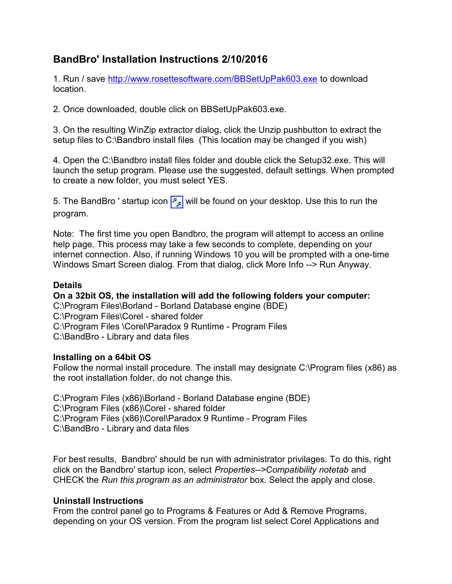## BandBro' Installation Instructions 2/10/2016

1. Run / save http://www.rosettesoftware.com/BBSetUpPak603.exe to download location.

2. Once downloaded, double click on BBSetUpPak603.exe.

3. On the resulting WinZip extractor dialog, click the Unzip pushbutton to extract the setup files to C:\Bandbro install files (This location may be changed if you wish)

4. Open the C:\Bandbro install files folder and double click the Setup32.exe. This will launch the setup program. Please use the suggested, default settings. When prompted to create a new folder, you must select YES.

5. The BandBro ' startup icon  $\frac{p}{\sqrt{p}}$  will be found on your desktop. Use this to run the program.

Note: The first time you open Bandbro, the program will attempt to access an online help page. This process may take a few seconds to complete, depending on your internet connection. Also, if running Windows 10 you will be prompted with a one-time Windows Smart Screen dialog. From that dialog, click More Info --> Run Anyway.

## Details

On a 32bit OS, the installation will add the following folders your computer:

C:\Program Files\Borland - Borland Database engine (BDE) C:\Program Files\Corel - shared folder C:\Program Files \Corel\Paradox 9 Runtime - Program Files C:\BandBro - Library and data files

## Installing on a 64bit OS

Follow the normal install procedure. The install may designate C:\Program files (x86) as the root installation folder, do not change this.

C:\Program Files (x86)\Borland - Borland Database engine (BDE) C:\Program Files (x86)\Corel - shared folder C:\Program Files (x86)\Corel\Paradox 9 Runtime - Program Files C:\BandBro - Library and data files

For best results, Bandbro' should be run with administrator privilages. To do this, right click on the Bandbro' startup icon, select Properties-->Compatibility notetab and CHECK the Run this program as an administrator box. Select the apply and close.

## Uninstall Instructions

From the control panel go to Programs & Features or Add & Remove Programs, depending on your OS version. From the program list select Corel Applications and